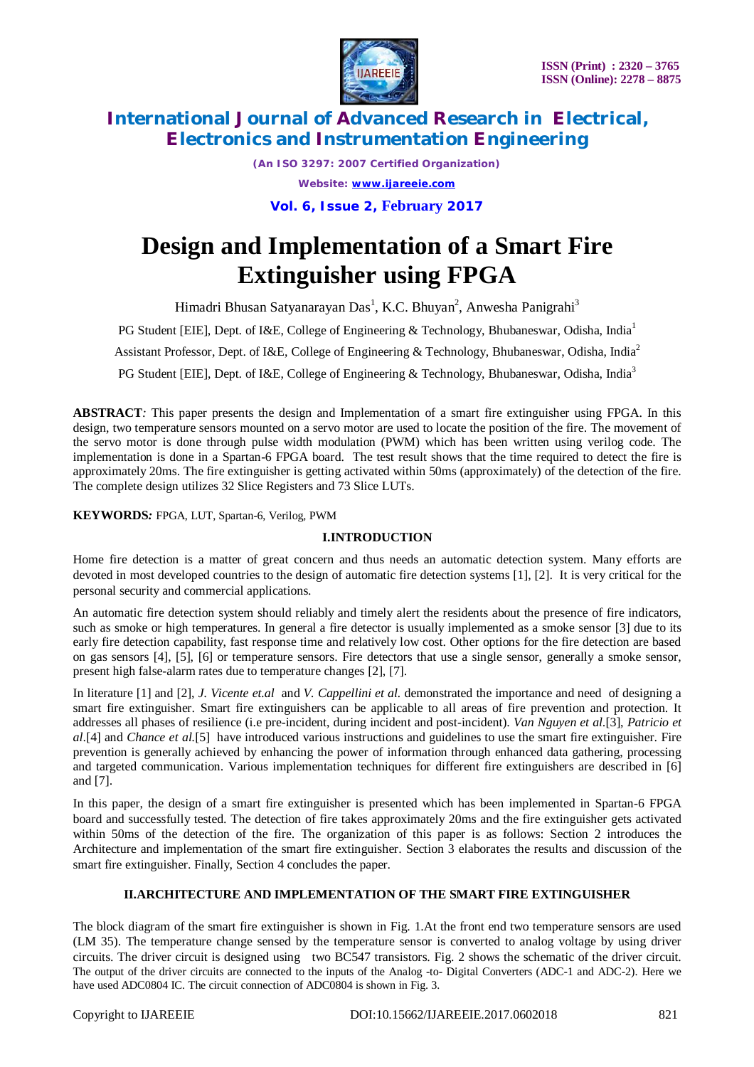

*(An ISO 3297: 2007 Certified Organization) Website: [www.ijareeie.com](http://www.ijareeie.com)* **Vol. 6, Issue 2, February 2017**

# **Design and Implementation of a Smart Fire Extinguisher using FPGA**

Himadri Bhusan Satyanarayan Das<sup>1</sup>, K.C. Bhuyan<sup>2</sup>, Anwesha Panigrahi<sup>3</sup>

PG Student [EIE], Dept. of I&E, College of Engineering & Technology, Bhubaneswar, Odisha, India<sup>1</sup>

Assistant Professor, Dept. of I&E, College of Engineering & Technology, Bhubaneswar, Odisha, India<sup>2</sup>

PG Student [EIE], Dept. of I&E, College of Engineering & Technology, Bhubaneswar, Odisha, India<sup>3</sup>

**ABSTRACT***:* This paper presents the design and Implementation of a smart fire extinguisher using FPGA. In this design, two temperature sensors mounted on a servo motor are used to locate the position of the fire. The movement of the servo motor is done through pulse width modulation (PWM) which has been written using verilog code. The implementation is done in a Spartan-6 FPGA board. The test result shows that the time required to detect the fire is approximately 20ms. The fire extinguisher is getting activated within 50ms (approximately) of the detection of the fire. The complete design utilizes 32 Slice Registers and 73 Slice LUTs.

**KEYWORDS***:* FPGA, LUT, Spartan-6, Verilog, PWM

### **I.INTRODUCTION**

Home fire detection is a matter of great concern and thus needs an automatic detection system. Many efforts are devoted in most developed countries to the design of automatic fire detection systems [1], [2]. It is very critical for the personal security and commercial applications.

An automatic fire detection system should reliably and timely alert the residents about the presence of fire indicators, such as smoke or high temperatures. In general a fire detector is usually implemented as a smoke sensor [3] due to its early fire detection capability, fast response time and relatively low cost. Other options for the fire detection are based on gas sensors [4], [5], [6] or temperature sensors. Fire detectors that use a single sensor, generally a smoke sensor, present high false-alarm rates due to temperature changes [2], [7].

In literature [1] and [2], *J. Vicente et.al* and *V. Cappellini et al.* demonstrated the importance and need of designing a smart fire extinguisher. Smart fire extinguishers can be applicable to all areas of fire prevention and protection. It addresses all phases of resilience (i.e pre-incident, during incident and post-incident). *Van Nguyen et al*.[3], *Patricio et al*.[4] and *Chance et al.*[5] have introduced various instructions and guidelines to use the smart fire extinguisher. Fire prevention is generally achieved by enhancing the power of information through enhanced data gathering, processing and targeted communication. Various implementation techniques for different fire extinguishers are described in [6] and [7].

In this paper, the design of a smart fire extinguisher is presented which has been implemented in Spartan-6 FPGA board and successfully tested. The detection of fire takes approximately 20ms and the fire extinguisher gets activated within 50ms of the detection of the fire. The organization of this paper is as follows: Section 2 introduces the Architecture and implementation of the smart fire extinguisher. Section 3 elaborates the results and discussion of the smart fire extinguisher. Finally, Section 4 concludes the paper.

### **II.ARCHITECTURE AND IMPLEMENTATION OF THE SMART FIRE EXTINGUISHER**

The block diagram of the smart fire extinguisher is shown in Fig. 1.At the front end two temperature sensors are used (LM 35). The temperature change sensed by the temperature sensor is converted to analog voltage by using driver circuits. The driver circuit is designed using two BC547 transistors. Fig. 2 shows the schematic of the driver circuit. The output of the driver circuits are connected to the inputs of the Analog -to- Digital Converters (ADC-1 and ADC-2). Here we have used ADC0804 IC. The circuit connection of ADC0804 is shown in Fig. 3.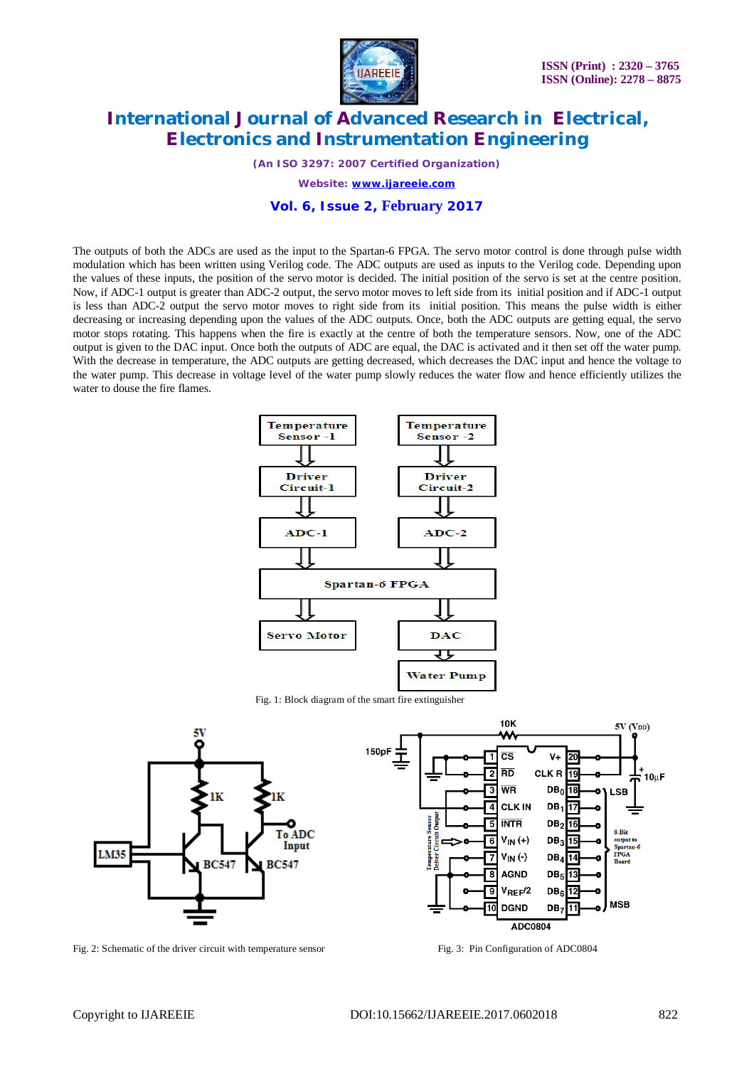

*(An ISO 3297: 2007 Certified Organization) Website: [www.ijareeie.com](http://www.ijareeie.com)*

### **Vol. 6, Issue 2, February 2017**

The outputs of both the ADCs are used as the input to the Spartan-6 FPGA. The servo motor control is done through pulse width modulation which has been written using Verilog code. The ADC outputs are used as inputs to the Verilog code. Depending upon the values of these inputs, the position of the servo motor is decided. The initial position of the servo is set at the centre position. Now, if ADC-1 output is greater than ADC-2 output, the servo motor moves to left side from its initial position and if ADC-1 output is less than ADC-2 output the servo motor moves to right side from its initial position. This means the pulse width is either decreasing or increasing depending upon the values of the ADC outputs. Once, both the ADC outputs are getting equal, the servo motor stops rotating. This happens when the fire is exactly at the centre of both the temperature sensors. Now, one of the ADC output is given to the DAC input. Once both the outputs of ADC are equal, the DAC is activated and it then set off the water pump. With the decrease in temperature, the ADC outputs are getting decreased, which decreases the DAC input and hence the voltage to the water pump. This decrease in voltage level of the water pump slowly reduces the water flow and hence efficiently utilizes the water to douse the fire flames.



Fig. 1: Block diagram of the smart fire extinguisher



Fig. 2: Schematic of the driver circuit with temperature sensor Fig. 3: Pin Configuration of ADC0804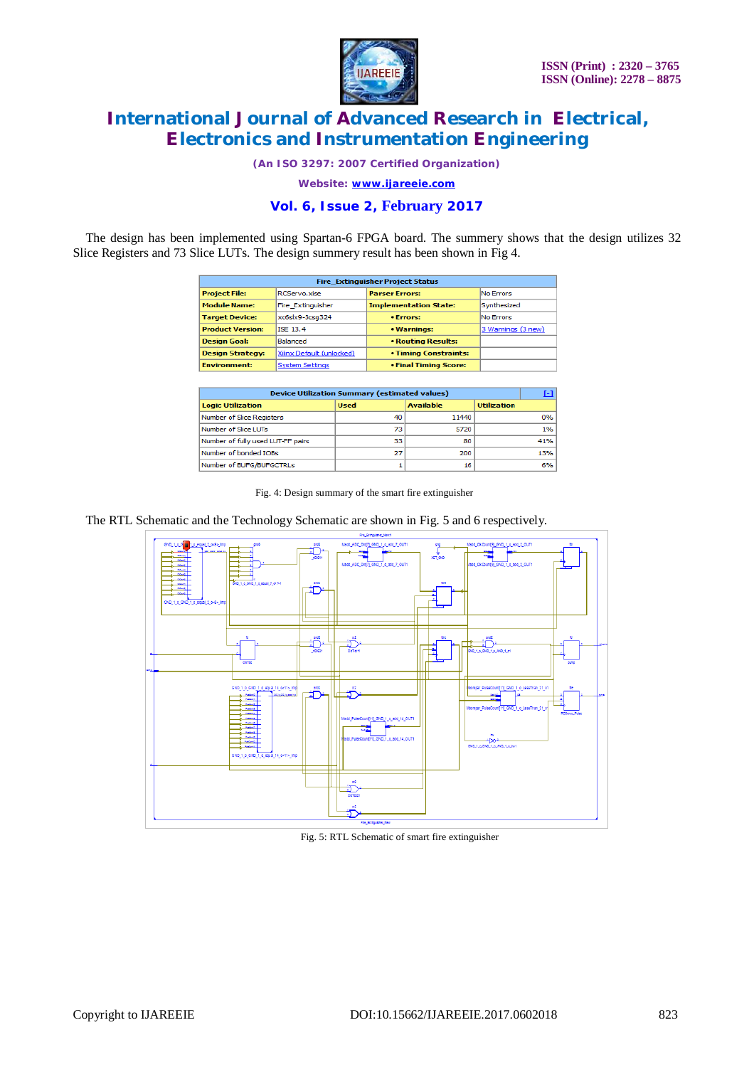

*(An ISO 3297: 2007 Certified Organization)*

*Website: [www.ijareeie.com](http://www.ijareeie.com)*

## **Vol. 6, Issue 2, February 2017**

The design has been implemented using Spartan-6 FPGA board. The summery shows that the design utilizes 32 Slice Registers and 73 Slice LUTs. The design summery result has been shown in Fig 4.

| <b>Fire Extinguisher Project Status</b> |                                       |                              |                    |  |  |  |  |
|-----------------------------------------|---------------------------------------|------------------------------|--------------------|--|--|--|--|
| <b>Project File:</b>                    | RCServo.xise<br><b>Parser Frrors:</b> |                              |                    |  |  |  |  |
| <b>Module Name:</b>                     | <b>Fire Extinguisher</b>              | <b>Implementation State:</b> | Synthesized        |  |  |  |  |
| <b>Target Device:</b>                   | xc6slx9-3csq324                       | • Frrors:                    | No Frrors          |  |  |  |  |
| <b>Product Version:</b>                 | <b>ISE 13.4</b>                       | • Warnings:                  | 3 Warnings (3 new) |  |  |  |  |
| <b>Design Goal:</b>                     | <b>Balanced</b>                       | • Routing Results:           |                    |  |  |  |  |
| <b>Design Strategy:</b>                 | Xilinx Default (unlocked)             | • Timing Constraints:        |                    |  |  |  |  |
| <b>Environment:</b>                     | System Settings                       | • Final Timing Score:        |                    |  |  |  |  |

| <b>Device Utilization Summary (estimated values)</b> |                                 |       |                    |     |  |  |  |  |
|------------------------------------------------------|---------------------------------|-------|--------------------|-----|--|--|--|--|
| <b>Logic Utilization</b>                             | <b>Used</b><br><b>Available</b> |       | <b>Utilization</b> |     |  |  |  |  |
| <b>Number of Slice Registers</b>                     | 40                              | 11440 |                    | 0%  |  |  |  |  |
| Number of Slice LUTs                                 | 73                              | 5720  |                    | 1%  |  |  |  |  |
| Number of fully used LUT-FF pairs                    | 33                              | 80    |                    | 41% |  |  |  |  |
| Number of bonded IOBs                                | 27                              | 200   |                    | 13% |  |  |  |  |
| Number of BUFG/BUFGCTRLs                             |                                 | 16    |                    | 6%  |  |  |  |  |

Fig. 4: Design summary of the smart fire extinguisher

### The RTL Schematic and the Technology Schematic are shown in Fig. 5 and 6 respectively.



#### Fig. 5: RTL Schematic of smart fire extinguisher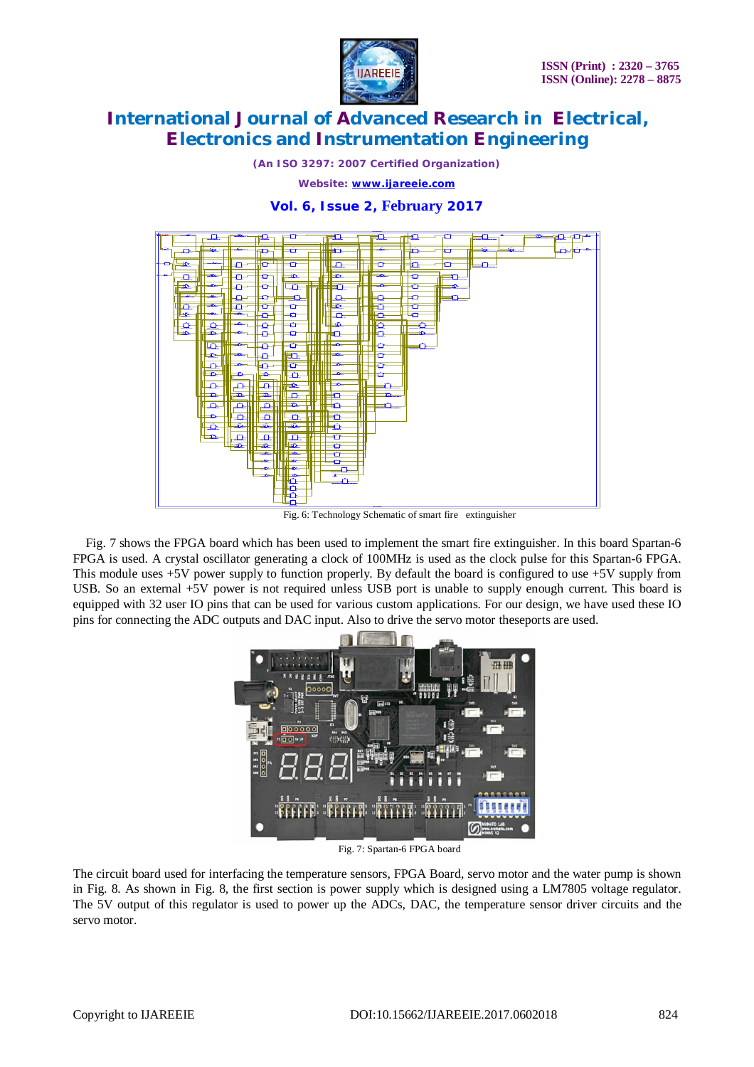

*(An ISO 3297: 2007 Certified Organization)*

*Website: [www.ijareeie.com](http://www.ijareeie.com)*

# **Vol. 6, Issue 2, February 2017**



Fig. 6: Technology Schematic of smart fire extinguisher

Fig. 7 shows the FPGA board which has been used to implement the smart fire extinguisher. In this board Spartan-6 FPGA is used. A crystal oscillator generating a clock of 100MHz is used as the clock pulse for this Spartan-6 FPGA. This module uses +5V power supply to function properly. By default the board is configured to use +5V supply from USB. So an external +5V power is not required unless USB port is unable to supply enough current. This board is equipped with 32 user IO pins that can be used for various custom applications. For our design, we have used these IO pins for connecting the ADC outputs and DAC input. Also to drive the servo motor theseports are used.



Fig. 7: Spartan-6 FPGA board

The circuit board used for interfacing the temperature sensors, FPGA Board, servo motor and the water pump is shown in Fig. 8. As shown in Fig. 8, the first section is power supply which is designed using a LM7805 voltage regulator. The 5V output of this regulator is used to power up the ADCs, DAC, the temperature sensor driver circuits and the servo motor.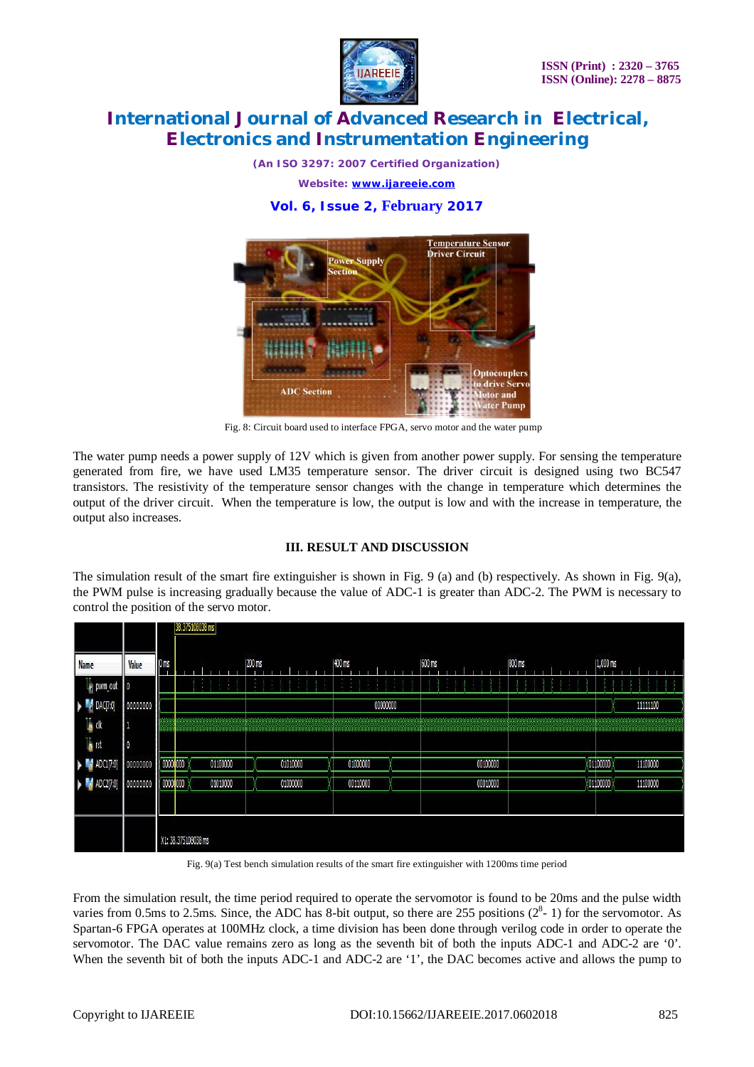

*(An ISO 3297: 2007 Certified Organization) Website: [www.ijareeie.com](http://www.ijareeie.com)*

**Vol. 6, Issue 2, February 2017 Temperature Senson Driver Circuit** ver Supply Optocoupler drive Serv

Fig. 8: Circuit board used to interface FPGA, servo motor and the water pump

tor and ter Pump

**ADC** Section

The water pump needs a power supply of 12V which is given from another power supply. For sensing the temperature generated from fire, we have used LM35 temperature sensor. The driver circuit is designed using two BC547 transistors. The resistivity of the temperature sensor changes with the change in temperature which determines the output of the driver circuit. When the temperature is low, the output is low and with the increase in temperature, the output also increases.

### **III. RESULT AND DISCUSSION**

The simulation result of the smart fire extinguisher is shown in Fig. 9 (a) and (b) respectively. As shown in Fig. 9(a), the PWM pulse is increasing gradually because the value of ADC-1 is greater than ADC-2. The PWM is necessary to control the position of the servo motor.

|                          |          |                     |  | 38.375108038 ms |               |          |                             |   |        |  |          |        |  |                   |          |          |
|--------------------------|----------|---------------------|--|-----------------|---------------|----------|-----------------------------|---|--------|--|----------|--------|--|-------------------|----------|----------|
| <b>Name</b>              | Value    | $ 0 \text{ ms} $    |  |                 | <b>200 ms</b> |          | 1400 ms                     |   | 600 ms |  |          | 800 ms |  |                   | 1,000 ms |          |
| pwm_out 0                |          |                     |  | il i            | ÷             | ÷        | 111<br>-<br>1.3<br>ALC: UNK | ÷ |        |  |          |        |  |                   |          |          |
| DAC[7:0]                 | 0000000  |                     |  |                 |               |          | 00000000                    |   |        |  |          |        |  |                   |          | 11111100 |
| l <mark>i</mark> dk      | И        |                     |  |                 |               |          |                             |   |        |  |          |        |  |                   |          |          |
| lo rst                   | 0        |                     |  |                 |               |          |                             |   |        |  |          |        |  |                   |          |          |
| $\blacksquare$ ADC1[7:0] | 00000000 | 00000000            |  | 01100000        |               | 01010000 | 01000000                    |   |        |  | 00100000 |        |  | $\sqrt{01100000}$ |          | 11100000 |
| $\blacksquare$ ADC2[7:0] | 0000000  | (00000000)          |  | 01010000        |               | 01000000 | 00110000                    |   |        |  | 00010000 |        |  | (01100000)        |          | 11100000 |
|                          |          |                     |  |                 |               |          |                             |   |        |  |          |        |  |                   |          |          |
|                          |          |                     |  |                 |               |          |                             |   |        |  |          |        |  |                   |          |          |
|                          |          | X1: 38.375108038 ms |  |                 |               |          |                             |   |        |  |          |        |  |                   |          |          |

Fig. 9(a) Test bench simulation results of the smart fire extinguisher with 1200ms time period

From the simulation result, the time period required to operate the servomotor is found to be 20ms and the pulse width varies from 0.5ms to 2.5ms. Since, the ADC has 8-bit output, so there are 255 positions  $(2^8 - 1)$  for the servomotor. As Spartan-6 FPGA operates at 100MHz clock, a time division has been done through verilog code in order to operate the servomotor. The DAC value remains zero as long as the seventh bit of both the inputs ADC-1 and ADC-2 are '0'. When the seventh bit of both the inputs ADC-1 and ADC-2 are '1', the DAC becomes active and allows the pump to